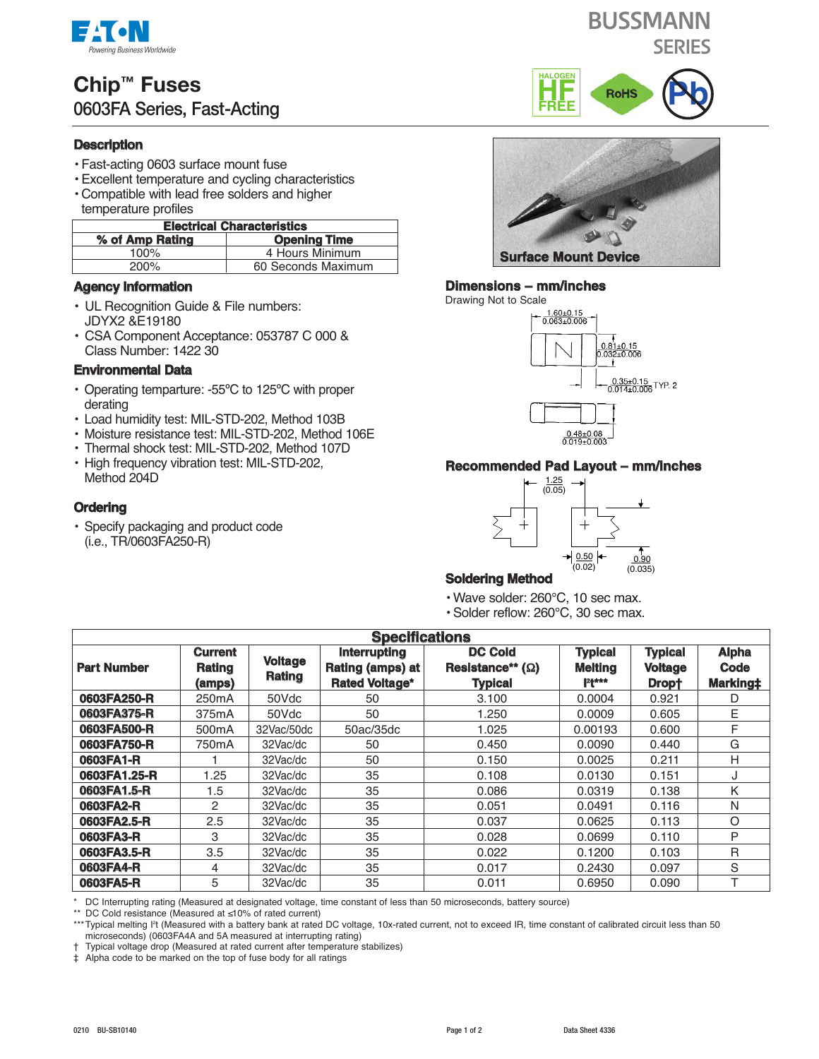

# **Chip™ Fuses 0603FA Series, Fast-Acting**

# **Description**

- Fast-acting 0603 surface mount fuse
- Excellent temperature and cycling characteristics
- Compatible with lead free solders and higher temperature profiles

#### **Electrical Characteristics**

| EIGULIUGI UIKIKOUUTISLUS               |                    |  |  |  |
|----------------------------------------|--------------------|--|--|--|
| % of Amp Rating<br><b>Opening Time</b> |                    |  |  |  |
| 100%                                   | 4 Hours Minimum    |  |  |  |
| 200%                                   | 60 Seconds Maximum |  |  |  |

## **Agency Information**

- UL Recognition Guide & File numbers: JDYX2 &E19180
- CSA Component Acceptance: 053787 C 000 & Class Number: 1422 30

### **Environmental Data**

- Operating temparture: -55ºC to 125ºC with proper derating
- Load humidity test: MIL-STD-202, Method 103B
- Moisture resistance test: MIL-STD-202, Method 106E
- Thermal shock test: MIL-STD-202, Method 107D • High frequency vibration test: MIL-STD-202,
- Method 204D

# **Ordering**

• Specify packaging and product code (i.e., TR/0603FA250-R)



**PADE ROHS** 

#### **Dimensions – mm/inches**

**HF FREE**





### **Recommended Pad Layout – mm/inches**



# **Soldering Method**

- Wave solder: 260°C, 10 sec max.
- Solder reflow: 260°C, 30 sec max.

| <b>Specifications</b> |                                    |                          |                                                                  |                                                             |                                              |                                           |                                  |  |
|-----------------------|------------------------------------|--------------------------|------------------------------------------------------------------|-------------------------------------------------------------|----------------------------------------------|-------------------------------------------|----------------------------------|--|
| <b>Part Number</b>    | <b>Current</b><br>Rating<br>(amps) | <b>Voltage</b><br>Rating | <b>Interrupting</b><br>Rating (amps) at<br><b>Rated Voltage*</b> | <b>DC Cold</b><br>Resistance** $(\Omega)$<br><b>Typical</b> | <b>Typical</b><br><b>Melting</b><br>$121***$ | <b>Typical</b><br><b>Voltage</b><br>Dropt | <b>Alpha</b><br>Code<br>Marking‡ |  |
| 0603FA250-R           | 250 <sub>m</sub> A                 | 50Vdc                    | 50                                                               | 3.100                                                       | 0.0004                                       | 0.921                                     | D                                |  |
| 0603FA375-R           | 375mA                              | 50Vdc                    | 50                                                               | 1.250                                                       | 0.0009                                       | 0.605                                     | E                                |  |
| 0603FA500-R           | 500 <sub>m</sub> A                 | 32Vac/50dc               | 50ac/35dc                                                        | 1.025                                                       | 0.00193                                      | 0.600                                     | F                                |  |
| 0603FA750-R           | 750mA                              | 32Vac/dc                 | 50                                                               | 0.450                                                       | 0.0090                                       | 0.440                                     | G                                |  |
| 0603FA1-R             |                                    | 32Vac/dc                 | 50                                                               | 0.150                                                       | 0.0025                                       | 0.211                                     | н                                |  |
| 0603FA1.25-R          | 1.25                               | 32Vac/dc                 | 35                                                               | 0.108                                                       | 0.0130                                       | 0.151                                     | J                                |  |
| 0603FA1.5-R           | 1.5                                | 32Vac/dc                 | 35                                                               | 0.086                                                       | 0.0319                                       | 0.138                                     | Κ                                |  |
| 0603FA2-R             | 2                                  | 32Vac/dc                 | 35                                                               | 0.051                                                       | 0.0491                                       | 0.116                                     | N                                |  |
| 0603FA2.5-R           | 2.5                                | 32Vac/dc                 | 35                                                               | 0.037                                                       | 0.0625                                       | 0.113                                     | O                                |  |
| 0603FA3-R             | 3                                  | 32Vac/dc                 | 35                                                               | 0.028                                                       | 0.0699                                       | 0.110                                     | P                                |  |
| 0603FA3.5-R           | 3.5                                | 32Vac/dc                 | 35                                                               | 0.022                                                       | 0.1200                                       | 0.103                                     | R                                |  |
| 0603FA4-R             | 4                                  | 32Vac/dc                 | 35                                                               | 0.017                                                       | 0.2430                                       | 0.097                                     | S                                |  |
| 0603FA5-R             | 5                                  | 32Vac/dc                 | 35                                                               | 0.011                                                       | 0.6950                                       | 0.090                                     | ᠇                                |  |

\* DC Interrupting rating (Measured at designated voltage, time constant of less than 50 microseconds, battery source)

\*\* DC Cold resistance (Measured at ≤10% of rated current)

\*\*\*Typical melting I<sup>2</sup>t (Measured with a battery bank at rated DC voltage, 10x-rated current, not to exceed IR, time constant of calibrated circuit less than 50 microseconds) (0603FA4A and 5A measured at interrupting rating)

† Typical voltage drop (Measured at rated current after temperature stabilizes)

‡ Alpha code to be marked on the top of fuse body for all ratings